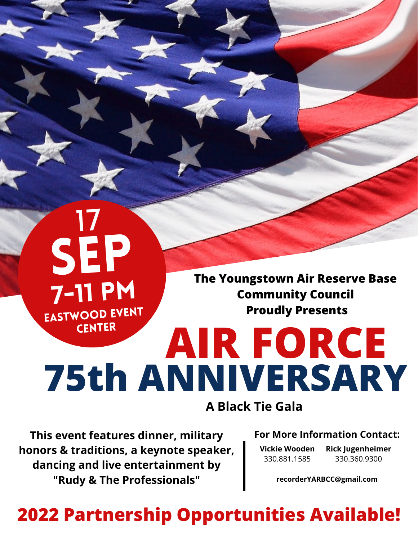SEP 7-11 pm Eastwood Event **CENTER** 

17

**The Youngstown Air Reserve Base Community Council Proudly Presents**

# **AIR FORCE 75th ANNIVERSARY A Black Tie Gala**

**This event features dinner, military honors & traditions, a keynote speaker, dancing and live entertainment by "Rudy & The Professionals"**

#### **For More Information Contact:**

**Vickie Wooden** 330.881.1585

**Rick Jugenheimer** 330.360.9300

**recorderYARBCC@gmail.com**

# **2022 Partnership Opportunities Available!**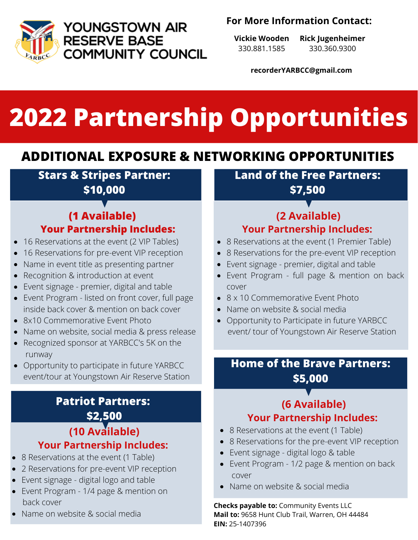

YOUNGSTOWN AIR **RESERVE BASE COMMUNITY COUNCIL** 

### **For More Information Contact:**

**Vickie Wooden** 330.881.1585

**Rick Jugenheimer** 330.360.9300

**recorderYARBCC@gmail.com**

# **2022 Partnership Opportunities**

# **ADDITIONAL EXPOSURE & NETWORKING OPPORTUNITIES**

**Stars & Stripes Partner: \$10,000**

### **(1 Available) Your Partnership Includes:**

- 16 Reservations at the event (2 VIP Tables)  $\bullet$
- 16 Reservations for pre-event VIP reception
- Name in event title as presenting partner  $\bullet$
- Recognition & introduction at event  $\bullet$
- Event signage premier, digital and table  $\bullet$
- Event Program listed on front cover, full page inside back cover & mention on back cover
- 8x10 Commemorative Event Photo
- Name on website, social media & press release
- Recognized sponsor at YARBCC's 5K on the runway
- Opportunity to participate in future YARBCC event/tour at Youngstown Air Reserve Station

### **(10 Available) Your Partnership Includes: Patriot Partners: \$2,500**

- 8 Reservations at the event (1 Table)
- 2 Reservations for pre-event VIP reception
- Event signage digital logo and table
- Event Program 1/4 page & mention on back cover
- Name on website & social media

**Land of the Free Partners:**

**\$7,500**

## **(2 Available) Your Partnership Includes:**

- 8 Reservations at the event (1 Premier Table)
- 8 Reservations for the pre-event VIP reception
- Event signage premier, digital and table
- Event Program full page & mention on back cover
- 8 x 10 Commemorative Event Photo
- Name on website & social media
- Opportunity to Participate in future YARBCC event/ tour of Youngstown Air Reserve Station

### **Home of the Brave Partners: \$5,000**

## **(6 Available) Your Partnership Includes:**

- 8 Reservations at the event (1 Table)
- 8 Reservations for the pre-event VIP reception
- Event signage digital logo & table
- Event Program 1/2 page & mention on back cover
- Name on website & social media

**Checks payable to:** Community Events LLC **Mail to:** 9658 Hunt Club Trail, Warren, OH 44484 **EIN:** 25-1407396